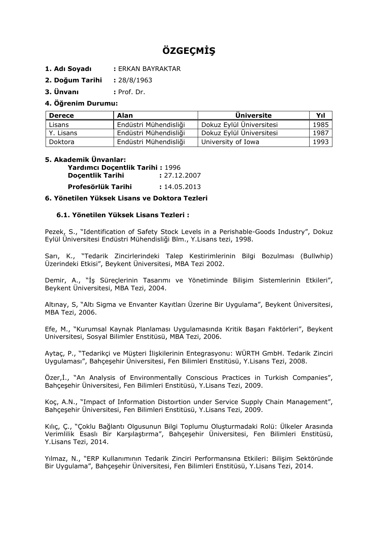# **ÖZGEÇMİŞ**

- **1. Adı Soyadı :** ERKAN BAYRAKTAR
- **2. Doğum Tarihi :** 28/8/1963

**3. Ünvanı :** Prof. Dr.

## **4. Öğrenim Durumu:**

| <b>Derece</b> | Alan                  | <b>Universite</b>        | Yıl  |
|---------------|-----------------------|--------------------------|------|
| Lisans        | Endüstri Mühendisliği | Dokuz Eylül Üniversitesi | 1985 |
| Y. Lisans     | Endüstri Mühendisliği | Dokuz Eylül Üniversitesi | 1987 |
| Doktora       | Endüstri Mühendisliği | University of Iowa       | 1993 |

# **5. Akademik Ünvanlar:**

| Yardımcı Doçentlik Tarihi: 1996 |              |
|---------------------------------|--------------|
| <b>Docentlik Tarihi</b>         | : 27.12.2007 |
| Profesörlük Tarihi              | : 14.05.2013 |

### **6. Yönetilen Yüksek Lisans ve Doktora Tezleri**

### **6.1. Yönetilen Yüksek Lisans Tezleri :**

Pezek, S., "Identification of Safety Stock Levels in a Perishable-Goods Industry", Dokuz Eylül Üniversitesi Endüstri Mühendisliği Blm., Y.Lisans tezi, 1998.

Sarı, K., "Tedarik Zincirlerindeki Talep Kestirimlerinin Bilgi Bozulması (Bullwhip) Üzerindeki Etkisi", Beykent Üniversitesi, MBA Tezi 2002.

Demir, A., "İş Süreçlerinin Tasarımı ve Yönetiminde Bilişim Sistemlerinin Etkileri", Beykent Üniversitesi, MBA Tezi, 2004.

Altınay, S, "Altı Sigma ve Envanter Kayıtları Üzerine Bir Uygulama", Beykent Üniversitesi, MBA Tezi, 2006.

Efe, M., "Kurumsal Kaynak Planlaması Uygulamasında Kritik Başarı Faktörleri", Beykent Universitesi, Sosyal Bilimler Enstitüsü, MBA Tezi, 2006.

Aytaç, P., "Tedarikçi ve Müşteri İlişkilerinin Entegrasyonu: WÜRTH GmbH. Tedarik Zinciri Uygulaması", Bahçeşehir Üniversitesi, Fen Bilimleri Enstitüsü, Y.Lisans Tezi, 2008.

Özer,İ., "An Analysis of Environmentally Conscious Practices in Turkish Companies", Bahçeşehir Üniversitesi, Fen Bilimleri Enstitüsü, Y.Lisans Tezi, 2009.

Koç, A.N., "Impact of Information Distoırtion under Service Supply Chain Management", Bahçeşehir Üniversitesi, Fen Bilimleri Enstitüsü, Y.Lisans Tezi, 2009.

Kılıç, Ç., "Çoklu Bağlantı Olgusunun Bilgi Toplumu Oluşturmadaki Rolü: Ülkeler Arasında Verimlilik Esaslı Bir Karşılaştırma", Bahçeşehir Üniversitesi, Fen Bilimleri Enstitüsü, Y.Lisans Tezi, 2014.

Yılmaz, N., "ERP Kullanımının Tedarik Zinciri Performansına Etkileri: Bilişim Sektöründe Bir Uygulama", Bahçeşehir Üniversitesi, Fen Bilimleri Enstitüsü, Y.Lisans Tezi, 2014.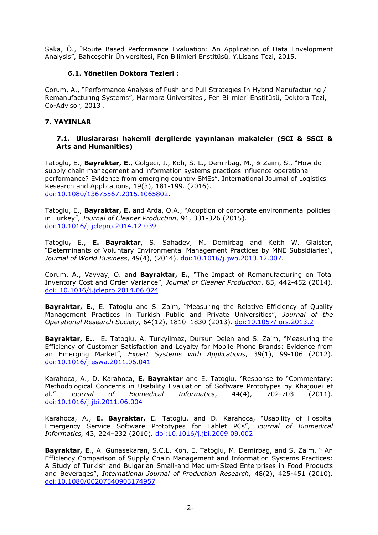Saka, Ö., "Route Based Performance Evaluation: An Application of Data Envelopment Analysis", Bahçeşehir Üniversitesi, Fen Bilimleri Enstitüsü, Y.Lisans Tezi, 2015.

## **6.1. Yönetilen Doktora Tezleri :**

Çorum, A., "Performance Analysıs of Push and Pull Strategıes In Hybrıd Manufacturıng / Remanufacturıng Systems", Marmara Üniversitesi, Fen Bilimleri Enstitüsü, Doktora Tezi, Co-Advisor, 2013 .

## **7. YAYINLAR**

#### **7.1. Uluslararası hakemli dergilerde yayınlanan makaleler (SCI & SSCI & Arts and Humanities)**

Tatoglu, E., **Bayraktar, E.**, Golgeci, I., Koh, S. L., Demirbag, M., & Zaim, S.. "How do supply chain management and information systems practices influence operational performance? Evidence from emerging country SMEs". International Journal of Logistics Research and Applications, 19(3), 181-199. (2016). [doi:10.1080/13675567.2015.1065802.](http://www.tandfonline.com/doi/abs/10.1080/13675567.2015.1065802?journalCode=cjol20)

Tatoglu, E., **Bayraktar, E.** and Arda, O.A., "Adoption of corporate environmental policies in Turkey", *Journal of Cleaner Production*, 91, 331-326 (2015). [doi:10.1016/j.jclepro.2014.12.039](http://dx.doi.org/10.1016/j.jclepro.2014.12.039)

Tatoglu**,** E., **E. Bayraktar**, S. Sahadev, M. Demirbag and Keith W. Glaister, "Determinants of Voluntary Environmental Management Practices by MNE Subsidiaries", *Journal of World Business*, 49(4), (2014). [doi:10.1016/j.jwb.2013.12.007.](http://dx.doi.org/10.1016/j.jwb.2013.12.007)

Corum, A., Vayvay, O. and **Bayraktar, E.**, "The Impact of Remanufacturing on Total Inventory Cost and Order Variance", *Journal of Cleaner Production*, 85, 442-452 (2014). [doi: 10.1016/j.jclepro.2014.06.024](http://dx.doi.org/10.1016/j.jclepro.2014.06.024)

Bayraktar, E., E. Tatoglu and S. Zaim, "Measuring the Relative Efficiency of Quality Management Practices in Turkish Public and Private Universities", *Journal of the Operational Research Society,* 64(12), 1810–1830 (2013). [doi:10.1057/jors.2013.2](http://dx.doi.org/doi:10.1057/jors.2013.2)

**Bayraktar, E.**, E. Tatoglu, A. Turkyilmaz, Dursun Delen and S. Zaim, "Measuring the Efficiency of Customer Satisfaction and Loyalty for Mobile Phone Brands: Evidence from an Emerging Market", *Expert Systems with Applications*, 39(1), 99-106 (2012). [doi:10.1016/j.eswa.2011.06.041](http://dx.doi.org/10.1016/j.eswa.2011.06.041)

Karahoca, A., D. Karahoca, **E. Bayraktar** and E. Tatoglu, "Response to "Commentary: Methodological Concerns in Usability Evaluation of Software Prototypes by Khajouei et al." *Journal of Biomedical Informatics*, 44(4), 702-703 (2011). [doi:10.1016/j.jbi.2011.06.004](http://dx.doi.org/10.1016/j.jbi.2011.06.004)

Karahoca, A., **E. Bayraktar,** E. Tatoglu, and D. Karahoca, "Usability of Hospital Emergency Service Software Prototypes for Tablet PCs", *Journal of Biomedical Informatics,* 43, 224–232 (2010)*.* [doi:10.1016/j.jbi.2009.09.002](http://dx.doi.org/10.1016/j.jbi.2009.09.002)

**Bayraktar, E**., A. Gunasekaran, S.C.L. Koh, E. Tatoglu, M. Demirbag, and S. Zaim, " An Efficiency Comparison of Supply Chain Management and Information Systems Practices: A Study of Turkish and Bulgarian Small-and Medium-Sized Enterprises in Food Products and Beverages", *International Journal of Production Research,* 48(2), 425-451 (2010). [doi:10.1080/00207540903174957](http://dx.doi.org/10.1080/00207540903174957)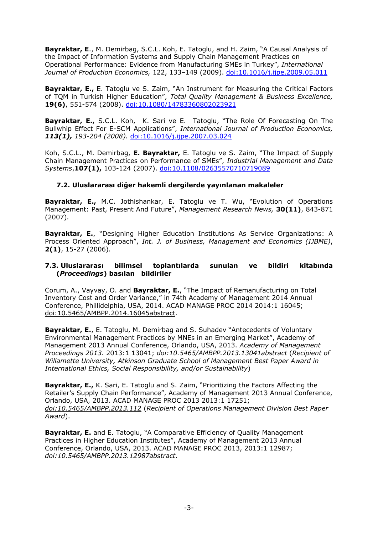**Bayraktar, E**., M. Demirbag, S.C.L. Koh, E. Tatoglu, and H. Zaim, "A Causal Analysis of the Impact of Information Systems and Supply Chain Management Practices on Operational Performance: Evidence from Manufacturing SMEs in Turkey", *International Journal of Production Economics,* 122, 133–149 (2009). [doi:10.1016/j.ijpe.2009.05.011](http://dx.doi.org/10.1016/j.ijpe.2009.05.011)

**Bayraktar, E.,** E. Tatoglu ve S. Zaim, "An Instrument for Measuring the Critical Factors of TQM in Turkish Higher Education", *Total Quality Management & Business Excellence,*  **19(6)**, 551-574 (2008). doi:10.1080/14783360802023921

**Bayraktar, E.,** S.C.L. Koh, K. Sari ve E. Tatoglu, "The Role Of Forecasting On The Bullwhip Effect For E-SCM Applications", *International Journal of Production Economics, 113(1), 193-204 (2008).* [doi:10.1016/j.ijpe.2007.03.024](http://dx.doi.org/10.1016/j.ijpe.2007.03.024)

Koh, S.C.L., M. Demirbag, **E. Bayraktar,** E. Tatoglu ve S. Zaim, "The Impact of Supply Chain Management Practices on Performance of SMEs", *Industrial Management and Data Systems*,**107(1),** 103-124 (2007). doi:10.1108/02635570710719089

## **7.2. Uluslararası diğer hakemli dergilerde yayınlanan makaleler**

**Bayraktar, E.,** M.C. Jothishankar, E. Tatoglu ve T. Wu, "Evolution of Operations Management: Past, Present And Future", *Management Research News,* **30(11)**, 843-871 (2007)*.*

**Bayraktar, E.**, "Designing Higher Education Institutions As Service Organizations: A Process Oriented Approach", *Int. J. of Business, Management and Economics (IJBME)*, **2(1)**, 15-27 (2006).

#### **7.3. Uluslararası bilimsel toplantılarda sunulan ve bildiri kitabında (***Proceedings***) basılan bildiriler**

Corum, A., Vayvay, O. and **Bayraktar, E.**, "The Impact of Remanufacturing on Total Inventory Cost and Order Variance," in 74th Academy of Management 2014 Annual Conference, Phillidelphia, USA, 2014. ACAD MANAGE PROC 2014 2014:1 16045; doi:10.5465/AMBPP.2014.16045abstract.

**Bayraktar, E.**, E. Tatoglu, M. Demirbag and S. Suhadev "Antecedents of Voluntary Environmental Management Practices by MNEs in an Emerging Market", Academy of Management 2013 Annual Conference, Orlando, USA, 2013. *Academy of Management Proceedings 2013.* 2013:1 13041; *doi:10.5465/AMBPP.2013.13041abstract* (*Recipient of Willamette University, Atkinson Graduate School of Management Best Paper Award in International Ethics, Social Responsibility, and/or Sustainability*)

**Bayraktar, E.,** K. Sari, E. Tatoglu and S. Zaim, "Prioritizing the Factors Affecting the Retailer's Supply Chain Performance", Academy of Management 2013 Annual Conference, Orlando, USA, 2013. ACAD MANAGE PROC 2013 2013:1 17251; *doi:10.5465/AMBPP.2013.112* (*Recipient of Operations Management Division Best Paper Award*).

**Bayraktar, E.** and E. Tatoglu, "A Comparative Efficiency of Quality Management Practices in Higher Education Institutes", Academy of Management 2013 Annual Conference, Orlando, USA, 2013. ACAD MANAGE PROC 2013, 2013:1 12987; *doi:10.5465/AMBPP.2013.12987abstract*.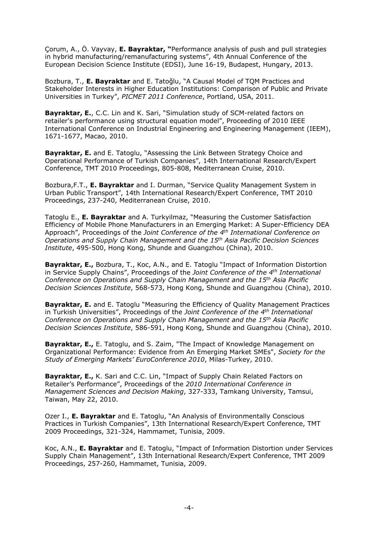Çorum, A., Ö. Vayvay, **E. Bayraktar, "**Performance analysis of push and pull strategies in hybrid manufacturing/remanufacturing systems", 4th Annual Conference of the European Decision Science Institute (EDSI), June 16-19, Budapest, Hungary, 2013.

Bozbura, T., **E. Bayraktar** and E. Tatoğlu, "A Causal Model of TQM Practices and Stakeholder Interests in Higher Education Institutions: Comparison of Public and Private Universities in Turkey", *PICMET 2011 Conference*, Portland, USA, 2011.

**Bayraktar, E.**, C.C. Lin and K. Sari, "Simulation study of SCM-related factors on retailer's performance using structural equation model", Proceeding of 2010 IEEE International Conference on Industrial Engineering and Engineering Management (IEEM), 1671-1677, Macao, 2010.

**Bayraktar, E.** and E. Tatoglu, "Assessing the Link Between Strategy Choice and Operational Performance of Turkish Companies", 14th International Research/Expert Conference, TMT 2010 Proceedings, 805-808, Mediterranean Cruise, 2010.

Bozbura,F.T., **E. Bayraktar** and I. Durman, "Service Quality Management System in Urban Public Transport", 14th International Research/Expert Conference, TMT 2010 Proceedings, 237-240, Mediterranean Cruise, 2010.

Tatoglu E., **E. Bayraktar** and A. Turkyilmaz, "Measuring the Customer Satisfaction Efficiency of Mobile Phone Manufacturers in an Emerging Market: A Super-Efficiency DEA Approach", Proceedings of the *Joint Conference of the 4th International Conference on Operations and Supply Chain Management and the 15th Asia Pacific Decision Sciences Institute*, 495-500, Hong Kong, Shunde and Guangzhou (China), 2010.

**Bayraktar, E.,** Bozbura, T., Koc, A.N., and E. Tatoglu "Impact of Information Distortion in Service Supply Chains", Proceedings of the *Joint Conference of the 4th International Conference on Operations and Supply Chain Management and the 15th Asia Pacific Decision Sciences Institute*, 568-573, Hong Kong, Shunde and Guangzhou (China), 2010.

**Bayraktar, E.** and E. Tatoglu "Measuring the Efficiency of Quality Management Practices in Turkish Universities", Proceedings of the *Joint Conference of the 4th International Conference on Operations and Supply Chain Management and the 15th Asia Pacific Decision Sciences Institute*, 586-591, Hong Kong, Shunde and Guangzhou (China), 2010.

**Bayraktar, E.,** E. Tatoglu, and S. Zaim, "The Impact of Knowledge Management on Organizational Performance: Evidence from An Emerging Market SMEs", *Society for the Study of Emerging Markets' EuroConference 2010*, Milas-Turkey, 2010.

**Bayraktar, E.,** K. Sari and C.C. Lin, "Impact of Supply Chain Related Factors on Retailer's Performance", Proceedings of the *2010 International Conference in Management Sciences and Decision Making*, 327-333, Tamkang University, Tamsui, Taiwan, May 22, 2010.

Ozer I., **E. Bayraktar** and E. Tatoglu, "An Analysis of Environmentally Conscious Practices in Turkish Companies", 13th International Research/Expert Conference, TMT 2009 Proceedings, 321-324, Hammamet, Tunisia, 2009.

Koc, A.N., **E. Bayraktar** and E. Tatoglu, "Impact of Information Distortion under Services Supply Chain Management", 13th International Research/Expert Conference, TMT 2009 Proceedings, 257-260, Hammamet, Tunisia, 2009.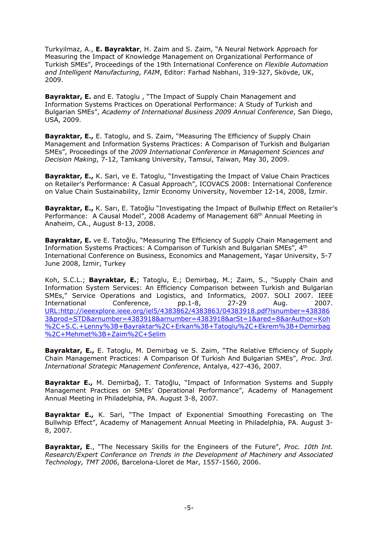Turkyilmaz, A., **E. Bayraktar**, H. Zaim and S. Zaim, "A Neural Network Approach for Measuring the Impact of Knowledge Management on Organizational Performance of Turkish SMEs", Proceedings of the 19th International Conference on *Flexible Automation and Intelligent Manufacturing, FAIM*, Editor: Farhad Nabhani, 319-327, Skövde, UK, 2009.

**Bayraktar, E.** and E. Tatoglu , "The Impact of Supply Chain Management and Information Systems Practices on Operational Performance: A Study of Turkish and Bulgarian SMEs", *Academy of International Business 2009 Annual Conference*, San Diego, USA, 2009.

**Bayraktar, E.,** E. Tatoglu, and S. Zaim, "Measuring The Efficiency of Supply Chain Management and Information Systems Practices: A Comparison of Turkish and Bulgarian SMEs", Proceedings of the *2009 International Conference in Management Sciences and Decision Making*, 7-12, Tamkang University, Tamsui, Taiwan, May 30, 2009.

**Bayraktar, E.,** K. Sari, ve E. Tatoglu, "Investigating the Impact of Value Chain Practices on Retailer's Performance: A Casual Approach", ICOVACS 2008: International Conference on Value Chain Sustainability, Izmir Economy University, November 12-14, 2008, İzmir.

**Bayraktar, E.,** K. Sarı, E. Tatoğlu "Investigating the Impact of Bullwhip Effect on Retailer's Performance: A Causal Model", 2008 Academy of Management 68<sup>th</sup> Annual Meeting in Anaheim, CA., August 8-13, 2008.

**Bayraktar, E.** ve E. Tatoğlu, "Measuring The Efficiency of Supply Chain Management and Information Systems Practices: A Comparison of Turkish and Bulgarian SMEs", 4th International Conference on Business, Economics and Management, Yaşar University, 5-7 June 2008, İzmir, Turkey

Koh, S.C.L.; **Bayraktar, E.**; Tatoglu, E.; Demirbag, M.; Zaim, S., "Supply Chain and Information System Services: An Efficiency Comparison between Turkish and Bulgarian SMEs," Service Operations and Logistics, and Informatics, 2007. SOLI 2007. IEEE International Conference, pp.1-8, 27-29 Aug. 2007. [URL:http://ieeexplore.ieee.org/iel5/4383862/4383863/04383918.pdf?isnumber=438386](http://ieeexplore.ieee.org/iel5/4383862/4383863/04383918.pdf?isnumber=4383863&prod=STD&arnumber=4383918&arnumber=4383918&arSt=1&ared=8&arAuthor=Koh%2C+S.C.+Lenny%3B+Bayraktar%2C+Erkan%3B+Tatoglu%2C+Ekrem%3B+Demirbag%2C+Mehmet%3B+Zaim%2C+Selim) [3&prod=STD&arnumber=4383918&arnumber=4383918&arSt=1&ared=8&arAuthor=Koh](http://ieeexplore.ieee.org/iel5/4383862/4383863/04383918.pdf?isnumber=4383863&prod=STD&arnumber=4383918&arnumber=4383918&arSt=1&ared=8&arAuthor=Koh%2C+S.C.+Lenny%3B+Bayraktar%2C+Erkan%3B+Tatoglu%2C+Ekrem%3B+Demirbag%2C+Mehmet%3B+Zaim%2C+Selim) [%2C+S.C.+Lenny%3B+Bayraktar%2C+Erkan%3B+Tatoglu%2C+Ekrem%3B+Demirbag](http://ieeexplore.ieee.org/iel5/4383862/4383863/04383918.pdf?isnumber=4383863&prod=STD&arnumber=4383918&arnumber=4383918&arSt=1&ared=8&arAuthor=Koh%2C+S.C.+Lenny%3B+Bayraktar%2C+Erkan%3B+Tatoglu%2C+Ekrem%3B+Demirbag%2C+Mehmet%3B+Zaim%2C+Selim) [%2C+Mehmet%3B+Zaim%2C+Selim](http://ieeexplore.ieee.org/iel5/4383862/4383863/04383918.pdf?isnumber=4383863&prod=STD&arnumber=4383918&arnumber=4383918&arSt=1&ared=8&arAuthor=Koh%2C+S.C.+Lenny%3B+Bayraktar%2C+Erkan%3B+Tatoglu%2C+Ekrem%3B+Demirbag%2C+Mehmet%3B+Zaim%2C+Selim)

**Bayraktar, E.,** E. Tatoglu, M. Demirbag ve S. Zaim, "The Relative Effıciency of Supply Chain Management Practices: A Comparison Of Turkish And Bulgarian SMEs", *Proc. 3rd. International Strategic Management Conference*, Antalya, 427-436, 2007.

**Bayraktar E.,** M. Demirbağ, T. Tatoğlu, "Impact of Information Systems and Supply Management Practices on SMEs' Operational Performance", Academy of Management Annual Meeting in Philadelphia, PA. August 3-8, 2007.

**Bayraktar E.,** K. Sari, "The Impact of Exponential Smoothing Forecasting on The Bullwhip Effect", Academy of Management Annual Meeting in Philadelphia, PA. August 3- 8, 2007.

**Bayraktar, E**., "The Necessary Skills for the Engineers of the Future", *Proc. 10th Int. Research/Expert Conferance on Trends in the Development of Machinery and Associated Technology, TMT 2006*, Barcelona-Lloret de Mar, 1557-1560, 2006.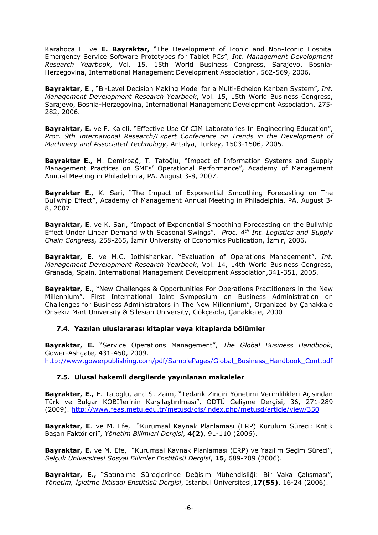Karahoca E. ve **E. Bayraktar,** "The Development of Iconic and Non-Iconic Hospital Emergency Service Software Prototypes for Tablet PCs", *Int. Management Development Research Yearbook*, Vol. 15, 15th World Business Congress, Sarajevo, Bosnia-Herzegovina, International Management Development Association, 562-569, 2006.

**Bayraktar, E**., "Bi-Level Decision Making Model for a Multi-Echelon Kanban System", *Int. Management Development Research Yearbook*, Vol. 15, 15th World Business Congress, Sarajevo, Bosnia-Herzegovina, International Management Development Association, 275- 282, 2006.

**Bayraktar, E.** ve F. Kaleli, "Effective Use Of CIM Laboratories In Engineering Education", Proc. 9th International Research/Expert Conference on Trends in the Development of *Machinery and Associated Technology*, Antalya, Turkey, 1503-1506, 2005.

**Bayraktar E.,** M. Demirbağ, T. Tatoğlu, "Impact of Information Systems and Supply Management Practices on SMEs' Operational Performance", Academy of Management Annual Meeting in Philadelphia, PA. August 3-8, 2007.

**Bayraktar E.,** K. Sari, "The Impact of Exponential Smoothing Forecasting on The Bullwhip Effect", Academy of Management Annual Meeting in Philadelphia, PA. August 3- 8, 2007.

**Bayraktar, E**. ve K. Sari, "Impact of Exponential Smoothing Forecasting on the Bullwhip Effect Under Linear Demand with Seasonal Swings", *Proc. 4 th Int. Logistics and Supply Chain Congress,* 258-265, İzmir University of Economics Publication, İzmir, 2006.

**Bayraktar, E.** ve M.C. Jothishankar, "Evaluation of Operations Management", *Int. Management Development Research Yearbook*, Vol. 14, 14th World Business Congress, Granada, Spain, International Management Development Association,341-351, 2005.

**Bayraktar, E.**, "New Challenges & Opportunities For Operations Practitioners in the New Millennium", First International Joint Symposium on Business Administration on Challenges for Business Administrators in The New Millennium", Organized by Çanakkale Onsekiz Mart University & Silesian University, Gökçeada, Çanakkale, 2000

## **7.4. Yazılan uluslararası kitaplar veya kitaplarda bölümler**

**Bayraktar, E.** "Service Operations Management", *The Global Business Handbook*, Gower-Ashgate, 431-450, 2009. [http://www.gowerpublishing.com/pdf/SamplePages/Global\\_Business\\_Handbook\\_Cont.pdf](http://www.gowerpublishing.com/pdf/SamplePages/Global_Business_Handbook_Cont.pdf)

## **7.5. Ulusal hakemli dergilerde yayınlanan makaleler**

**Bayraktar, E.,** E. Tatoglu, and S. Zaim, "Tedarik Zinciri Yönetimi Verimlilikleri Açısından Türk ve Bulgar KOBİ'lerinin Karşılaştırılması", ODTÜ Gelişme Dergisi, 36, 271-289 (2009). <http://www.feas.metu.edu.tr/metusd/ojs/index.php/metusd/article/view/350>

**Bayraktar, E**. ve M. Efe, "Kurumsal Kaynak Planlaması (ERP) Kurulum Süreci: Kritik Başarı Faktörleri", *Yönetim Bilimleri Dergisi*, **4(2)**, 91-110 (2006).

**Bayraktar, E.** ve M. Efe, "Kurumsal Kaynak Planlaması (ERP) ve Yazılım Seçim Süreci", *Selçuk Üniversitesi Sosyal Bilimler Enstitüsü Dergisi*, **15**, 689-709 (2006).

**Bayraktar, E.,** "Satınalma Süreçlerinde Değişim Mühendisliği: Bir Vaka Çalışması", *Yönetim, İşletme İktisadı Enstitüsü Dergisi*, İstanbul Üniversitesi,**17(55)**, 16-24 (2006).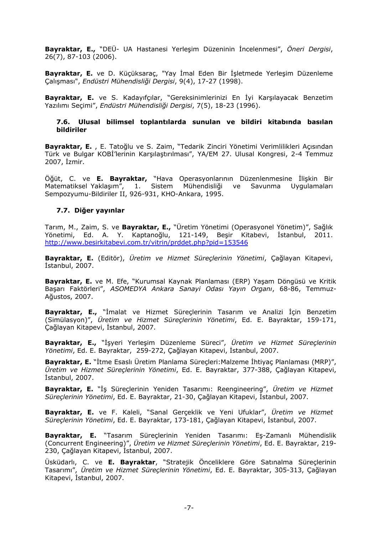**Bayraktar, E.,** "DEÜ- UA Hastanesi Yerleşim Düzeninin İncelenmesi", *Öneri Dergisi*, 26(7), 87-103 (2006).

**Bayraktar, E.** ve D. Küçüksaraç, "Yay İmal Eden Bir İşletmede Yerleşim Düzenleme Çalışması", *Endüstri Mühendisliği Dergisi*, 9(4), 17-27 (1998).

**Bayraktar, E.** ve S. Kadayıfçılar, "Gereksinimlerinizi En İyi Karşılayacak Benzetim Yazılımı Seçimi", *Endüstri Mühendisliği Dergisi*, 7(5), 18-23 (1996).

#### **7.6. Ulusal bilimsel toplantılarda sunulan ve bildiri kitabında basılan bildiriler**

**Bayraktar, E.** , E. Tatoğlu ve S. Zaim, "Tedarik Zinciri Yönetimi Verimlilikleri Açısından Türk ve Bulgar KOBİ'lerinin Karşılaştırılması", YA/EM 27. Ulusal Kongresi, 2-4 Temmuz 2007, İzmir.

Öğüt, C. ve **E. Bayraktar,** "Hava Operasyonlarının Düzenlenmesine İlişkin Bir Matematiksel Yaklaşım", 1. Sistem Mühendisliği ve Savunma Uygulamaları Sempozyumu-Bildiriler II, 926-931, KHO-Ankara, 1995.

### **7.7. Diğer yayınlar**

Tarım, M., Zaim, S. ve **Bayraktar, E.,** "Üretim Yönetimi (Operasyonel Yönetim)", Sağlık Yönetimi, Ed. A. Y. Kaptanoğlu, 121-149, Beşir Kitabevi, İstanbul, 2011. <http://www.besirkitabevi.com.tr/vitrin/prddet.php?pid=153546>

**Bayraktar, E.** (Editör), *Üretim ve Hizmet Süreçlerinin Yönetimi*, Çağlayan Kitapevi, İstanbul, 2007.

**Bayraktar, E.** ve M. Efe, "Kurumsal Kaynak Planlaması (ERP) Yaşam Döngüsü ve Kritik Başarı Faktörleri", *ASOMEDYA Ankara Sanayi Odası Yayın Organı*, 68-86, Temmuz-Ağustos, 2007.

**Bayraktar, E.,** "İmalat ve Hizmet Süreçlerinin Tasarım ve Analizi İçin Benzetim (Simülasyon)", *Üretim ve Hizmet Süreçlerinin Yönetimi*, Ed. E. Bayraktar, 159-171, Çağlayan Kitapevi, İstanbul, 2007.

**Bayraktar, E.,** "İşyeri Yerleşim Düzenleme Süreci", *Üretim ve Hizmet Süreçlerinin Yönetimi*, Ed. E. Bayraktar, 259-272, Çağlayan Kitapevi, İstanbul, 2007.

**Bayraktar, E.** "İtme Esaslı Üretim Planlama Süreçleri:Malzeme İhtiyaç Planlaması (MRP)", *Üretim ve Hizmet Süreçlerinin Yönetimi*, Ed. E. Bayraktar, 377-388, Çağlayan Kitapevi, İstanbul, 2007.

**Bayraktar, E.** "İş Süreçlerinin Yeniden Tasarımı: Reengineering", *Üretim ve Hizmet Süreçlerinin Yönetimi*, Ed. E. Bayraktar, 21-30, Çağlayan Kitapevi, İstanbul, 2007.

**Bayraktar, E.** ve F. Kaleli, "Sanal Gerçeklik ve Yeni Ufuklar", *Üretim ve Hizmet Süreçlerinin Yönetimi*, Ed. E. Bayraktar, 173-181, Çağlayan Kitapevi, İstanbul, 2007.

**Bayraktar, E.** "Tasarım Süreçlerinin Yeniden Tasarımı: Eş-Zamanlı Mühendislik (Concurrent Engineering)", *Üretim ve Hizmet Süreçlerinin Yönetimi*, Ed. E. Bayraktar, 219- 230, Çağlayan Kitapevi, İstanbul, 2007.

Üsküdarlı, C. ve **E. Bayraktar**, "Stratejik Önceliklere Göre Satınalma Süreçlerinin Tasarımı", *Üretim ve Hizmet Süreçlerinin Yönetimi*, Ed. E. Bayraktar, 305-313, Çağlayan Kitapevi, İstanbul, 2007.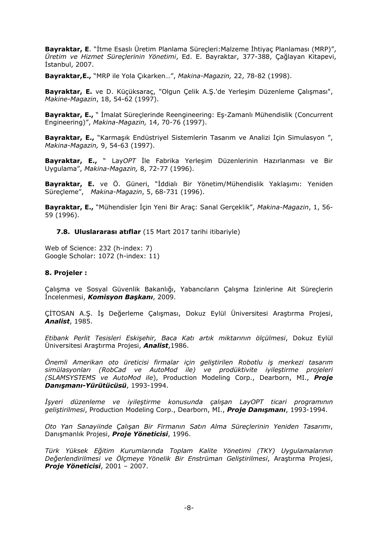**Bayraktar, E**. "İtme Esaslı Üretim Planlama Süreçleri:Malzeme İhtiyaç Planlaması (MRP)", *Üretim ve Hizmet Süreçlerinin Yönetimi*, Ed. E. Bayraktar, 377-388, Çağlayan Kitapevi, İstanbul, 2007.

**Bayraktar,E.,** "MRP ile Yola Çıkarken…", *Makina-Magazin,* 22, 78-82 (1998).

**Bayraktar, E.** ve D. Küçüksaraç, "Olgun Çelik A.Ş.'de Yerleşim Düzenleme Çalışması", *Makine-Magazin*, 18, 54-62 (1997).

**Bayraktar, E.,** " İmalat Süreçlerinde Reengineering: Eş-Zamanlı Mühendislik (Concurrent Engineering)", *Makina-Magazin,* 14, 70-76 (1997).

**Bayraktar, E.,** "Karmaşık Endüstriyel Sistemlerin Tasarım ve Analizi İçin Simulasyon ", *Makina-Magazin,* 9, 54-63 (1997).

**Bayraktar, E.,** " Lay*OPT* İle Fabrika Yerleşim Düzenlerinin Hazırlanması ve Bir Uygulama", *Makina-Magazin,* 8, 72-77 (1996).

**Bayraktar, E.** ve Ö. Güneri, "İddialı Bir Yönetim/Mühendislik Yaklaşımı: Yeniden Süreçleme", *Makina-Magazin*, 5, 68-731 (1996).

**Bayraktar, E.,** "Mühendisler İçin Yeni Bir Araç: Sanal Gerçeklik", *Makina-Magazin*, 1, 56- 59 (1996).

**7.8. Uluslararası atıflar** (15 Mart 2017 tarihi itibariyle)

Web of Science: 232 (h-index: 7) Google Scholar: 1072 (h-index: 11)

#### **8. Projeler :**

Çalışma ve Sosyal Güvenlik Bakanlığı, Yabancıların Çalışma İzinlerine Ait Süreçlerin İncelenmesi, *Komisyon Başkanı*, 2009.

ÇİTOSAN A.Ş. İş Değerleme Çalışması, Dokuz Eylül Üniversitesi Araştırma Projesi, *Analist*, 1985.

*Etibank Perlit Tesisleri Eskişehir, Baca Katı artık miktarının ölçülmesi*, Dokuz Eylül Üniversitesi Araştırma Projesi, *Analist*,1986.

*Önemli Amerikan oto üreticisi firmalar için geliştirilen Robotlu iş merkezi tasarım simülasyonları (RobCad ve AutoMod ile) ve prodüktivite iyileştirme projeleri (SLAMSYSTEMS ve AutoMod ile*), Production Modeling Corp., Dearborn, MI., *Proje Danışmanı-Yürütücüsü*, 1993-1994.

*İşyeri düzenleme ve iyileştirme konusunda çalışan LayOPT ticari programının geliştirilmesi*, Production Modeling Corp., Dearborn, MI., *Proje Danışmanı*, 1993-1994.

*Oto Yan Sanayiinde Çalışan Bir Firmanın Satın Alma Süreçlerinin Yeniden Tasarımı*, Danışmanlık Projesi, *Proje Yöneticisi*, 1996.

*Türk Yüksek Eğitim Kurumlarında Toplam Kalite Yönetimi (TKY) Uygulamalarının Değerlendirilmesi ve Ölçmeye Yönelik Bir Enstrüman Geliştirilmesi*, Araştırma Projesi, *Proje Yöneticisi*, 2001 – 2007.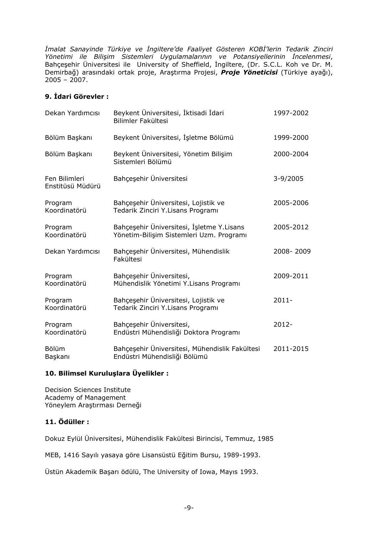*İmalat Sanayinde Türkiye ve İngiltere'de Faaliyet Gösteren KOBİ'lerin Tedarik Zinciri Yönetimi ile Bilişim Sistemleri Uygulamalarının ve Potansiyellerinin İncelenmesi*, Bahçeşehir Üniversitesi ile University of Sheffield, İngiltere, (Dr. S.C.L. Koh ve Dr. M. Demirbağ) arasındaki ortak proje, Araştırma Projesi, *Proje Yöneticisi* (Türkiye ayağı),  $2005 - 2007$ .

## **9. İdari Görevler :**

| Dekan Yardımcısı                  | Beykent Üniversitesi, İktisadi İdari<br>Bilimler Fakültesi                            | 1997-2002 |
|-----------------------------------|---------------------------------------------------------------------------------------|-----------|
| Bölüm Başkanı                     | Beykent Üniversitesi, İşletme Bölümü                                                  | 1999-2000 |
| Bölüm Başkanı                     | Beykent Üniversitesi, Yönetim Bilişim<br>Sistemleri Bölümü                            | 2000-2004 |
| Fen Bilimleri<br>Enstitüsü Müdürü | Bahçeşehir Üniversitesi                                                               | 3-9/2005  |
| Program<br>Koordinatörü           | Bahçeşehir Üniversitesi, Lojistik ve<br>Tedarik Zinciri Y.Lisans Programı             | 2005-2006 |
| Program<br>Koordinatörü           | Bahçeşehir Üniversitesi, İşletme Y.Lisans<br>Yönetim-Bilişim Sistemleri Uzm. Programı | 2005-2012 |
| Dekan Yardımcısı                  | Bahçeşehir Üniversitesi, Mühendislik<br>Fakültesi                                     | 2008-2009 |
| Program<br>Koordinatörü           | Bahçeşehir Üniversitesi,<br>Mühendislik Yönetimi Y.Lisans Programı                    | 2009-2011 |
| Program<br>Koordinatörü           | Bahçeşehir Üniversitesi, Lojistik ve<br>Tedarik Zinciri Y.Lisans Programı             | $2011 -$  |
| Program<br>Koordinatörü           | Bahçeşehir Üniversitesi,<br>Endüstri Mühendisliği Doktora Programı                    | $2012 -$  |
| Bölüm<br>Başkanı                  | Bahçeşehir Üniversitesi, Mühendislik Fakültesi<br>Endüstri Mühendisliği Bölümü        | 2011-2015 |

## **10. Bilimsel Kuruluşlara Üyelikler :**

Decision Sciences Institute Academy of Management Yöneylem Araştırması Derneği

# **11. Ödüller :**

Dokuz Eylül Üniversitesi, Mühendislik Fakültesi Birincisi, Temmuz, 1985

MEB, 1416 Sayılı yasaya göre Lisansüstü Eğitim Bursu, 1989-1993.

Üstün Akademik Başarı ödülü, The University of Iowa, Mayıs 1993.